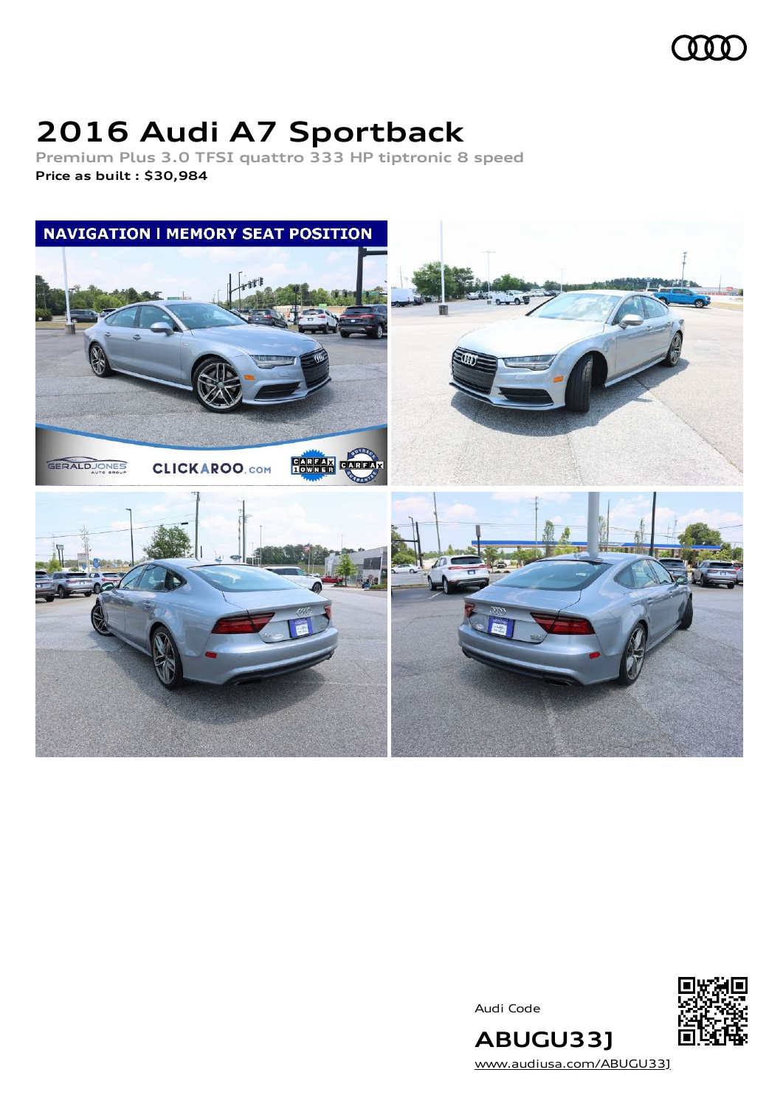

# **2016 Audi A7 Sportback**

**Premium Plus 3.0 TFSI quattro 333 HP tiptronic 8 speed Price as built [:](#page-11-0) \$30,984**



Audi Code



**ABUGU33J** [www.audiusa.com/ABUGU33J](https://www.audiusa.com/ABUGU33J)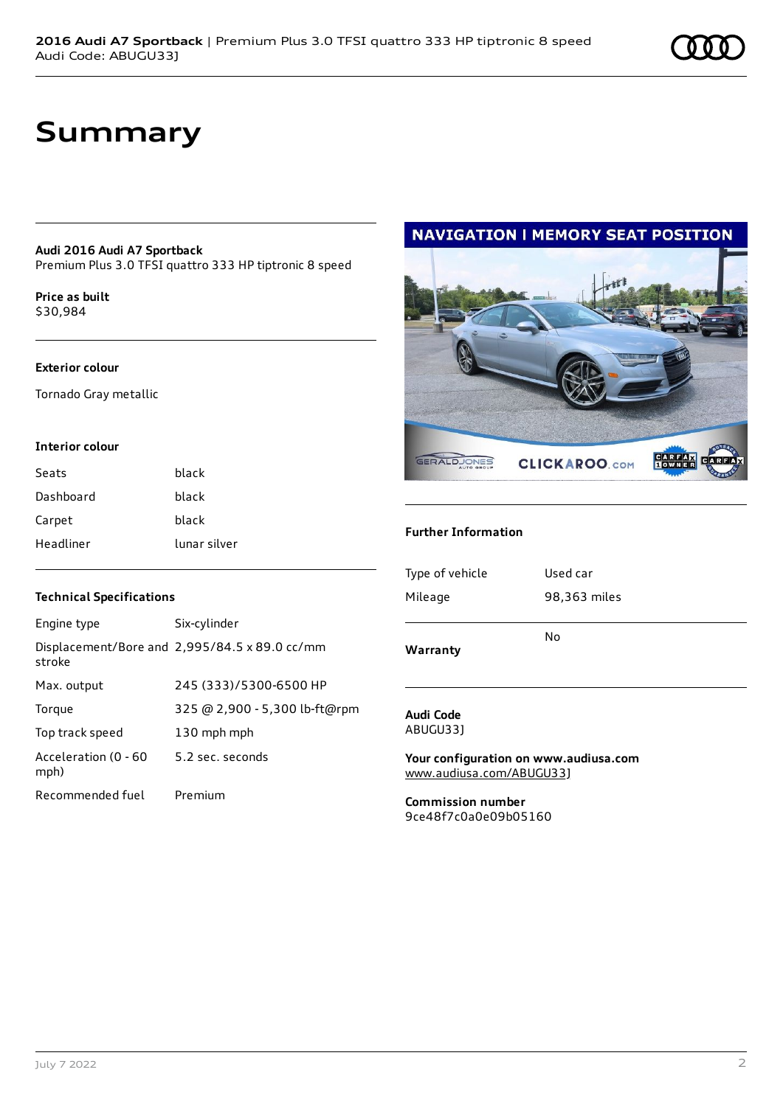# **Summary**

### **Audi 2016 Audi A7 Sportback**

Premium Plus 3.0 TFSI quattro 333 HP tiptronic 8 speed

**Price as buil[t](#page-11-0)** \$30,984

### **Exterior colour**

Tornado Gray metallic

### **Interior colour**

| Seats     | black        |
|-----------|--------------|
| Dashboard | black        |
| Carpet    | black        |
| Headliner | lunar silver |

### **Technical Specifications**

| Engine type                  | Six-cylinder                                  |
|------------------------------|-----------------------------------------------|
| stroke                       | Displacement/Bore and 2,995/84.5 x 89.0 cc/mm |
| Max. output                  | 245 (333)/5300-6500 HP                        |
| Torque                       | 325 @ 2,900 - 5,300 lb-ft@rpm                 |
| Top track speed              | 130 mph mph                                   |
| Acceleration (0 - 60<br>mph) | 5.2 sec. seconds                              |
| Recommended fuel             | Premium                                       |

# **NAVIGATION I MEMORY SEAT POSITION CARFAN**

GERALDJONES **CLICKAROO.com** 

### **Further Information**

| Type of vehicle | Used car     |
|-----------------|--------------|
| Mileage         | 98,363 miles |
|                 | No           |
| Warranty        |              |

### **Audi Code** ABUGU33J

**Your configuration on www.audiusa.com** [www.audiusa.com/ABUGU33J](https://www.audiusa.com/ABUGU33J)

**Commission number** 9ce48f7c0a0e09b05160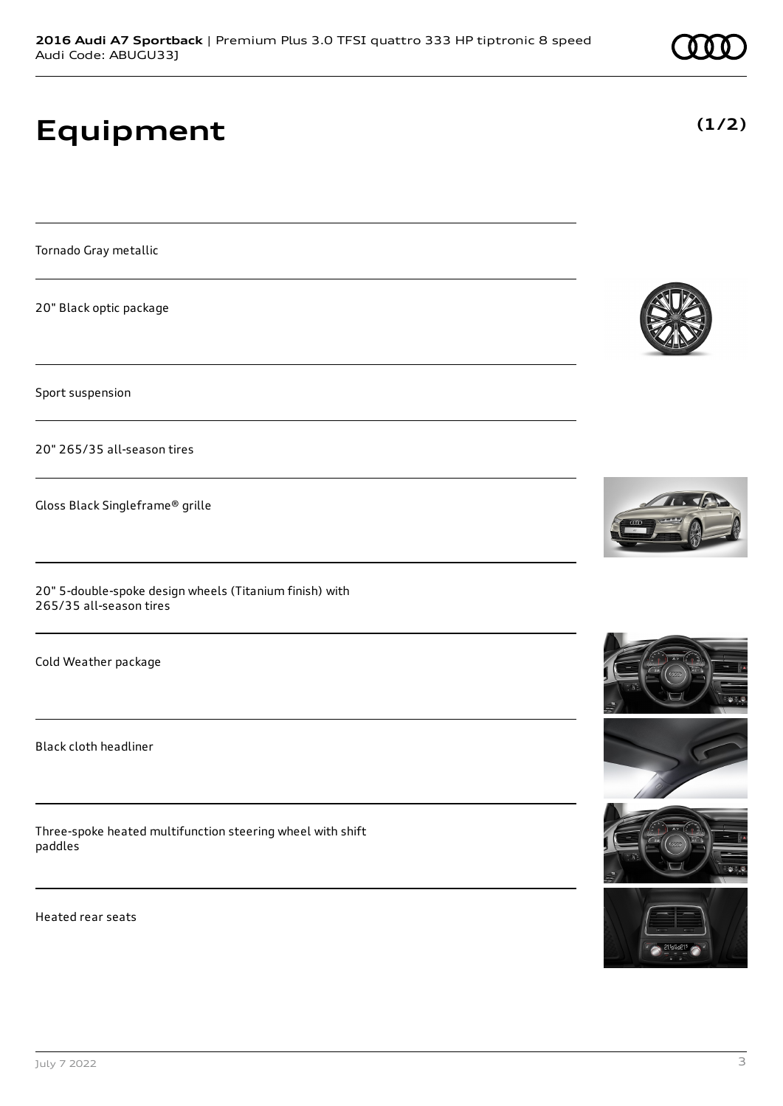# **Equipment**

Tornado Gray metallic

20" Black optic package

Sport suspension

20" 265/35 all-season tires

Gloss Black Singleframe® grille

20" 5-double-spoke design wheels (Titanium finish) with 265/35 all-season tires

Cold Weather package

Black cloth headliner

Three-spoke heated multifunction steering wheel with shift paddles

Heated rear seats











**(1/2)**

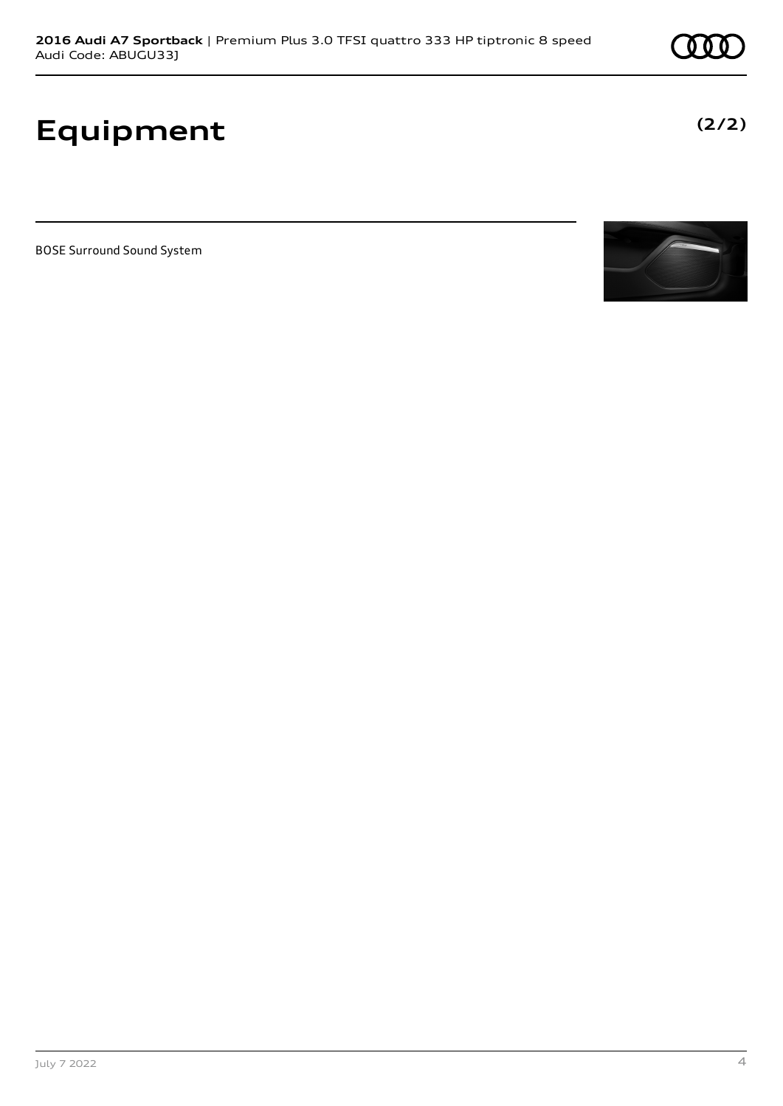# **Equipment**

BOSE Surround Sound System



**(2/2)**

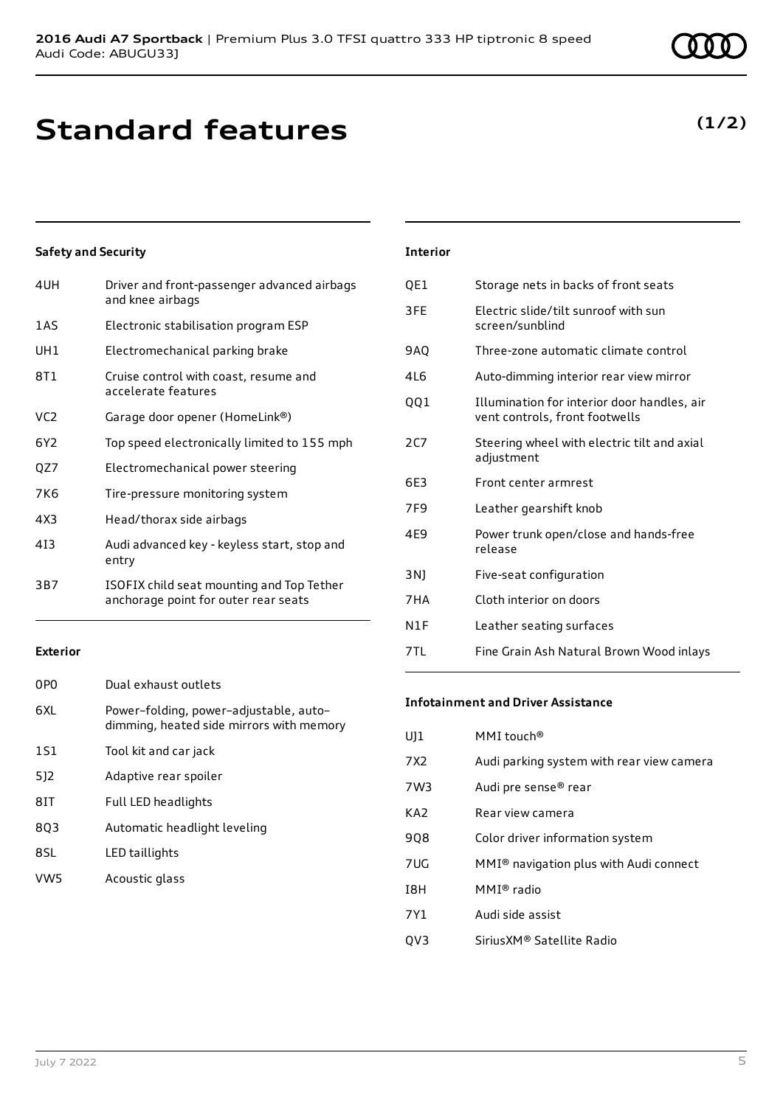# **Standard features**

### **Safety and Security**

| 4UH | Driver and front-passenger advanced airbags<br>and knee airbags                   |
|-----|-----------------------------------------------------------------------------------|
| 1AS | Electronic stabilisation program ESP                                              |
| UH1 | Electromechanical parking brake                                                   |
| 8T1 | Cruise control with coast, resume and<br>accelerate features                      |
| VC2 | Garage door opener (HomeLink®)                                                    |
| 6Y2 | Top speed electronically limited to 155 mph                                       |
| QZ7 | Electromechanical power steering                                                  |
| 7K6 | Tire-pressure monitoring system                                                   |
| 4X3 | Head/thorax side airbags                                                          |
| 413 | Audi advanced key - keyless start, stop and<br>entry                              |
| 3B7 | ISOFIX child seat mounting and Top Tether<br>anchorage point for outer rear seats |
|     |                                                                                   |

### **Exterior**

| 0P <sub>0</sub> | Dual exhaust outlets                                                               |
|-----------------|------------------------------------------------------------------------------------|
| 6XL             | Power-folding, power-adjustable, auto-<br>dimming, heated side mirrors with memory |
| <b>1S1</b>      | Tool kit and car jack                                                              |
| 512             | Adaptive rear spoiler                                                              |
| 8IT             | Full LED headlights                                                                |
| 8Q3             | Automatic headlight leveling                                                       |
| 8SL             | LED taillights                                                                     |
| VW <sub>5</sub> | Acoustic glass                                                                     |

# **Interior**

| QE1             | Storage nets in backs of front seats                                          |
|-----------------|-------------------------------------------------------------------------------|
| 3FE             | Electric slide/tilt sunroof with sun<br>screen/sunblind                       |
| 9AQ             | Three-zone automatic climate control                                          |
| 4L6             | Auto-dimming interior rear view mirror                                        |
| QQ1             | Illumination for interior door handles, air<br>vent controls, front footwells |
| 2C7             | Steering wheel with electric tilt and axial<br>adjustment                     |
|                 |                                                                               |
| 6F3             | Front center armrest                                                          |
| 7F <sub>9</sub> | Leather gearshift knob                                                        |
| 4F9             | Power trunk open/close and hands-free<br>release                              |
| 3N)             | Five-seat configuration                                                       |
| 7HA             | Cloth interior on doors                                                       |
| N1F             | Leather seating surfaces                                                      |

### **Infotainment and Driver Assistance**

| MMI touch <sup>®</sup>                             |
|----------------------------------------------------|
| Audi parking system with rear view camera          |
| Audi pre sense <sup>®</sup> rear                   |
| Rear view camera                                   |
| Color driver information system                    |
| MMI <sup>®</sup> navigation plus with Audi connect |
| MMI® radio                                         |
| Audi side assist                                   |
| SiriusXM® Satellite Radio                          |
|                                                    |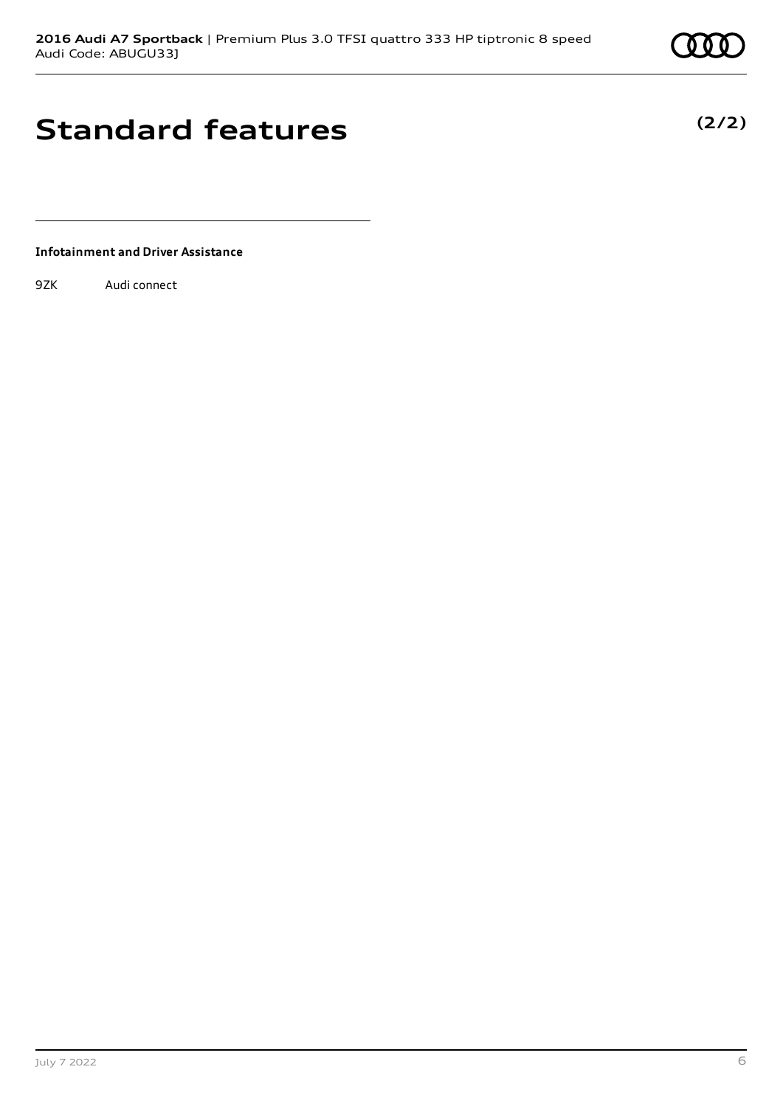# **Standard features**

**Infotainment and Driver Assistance**

9ZK Audi connect

July 7 2022 6

**(2/2)**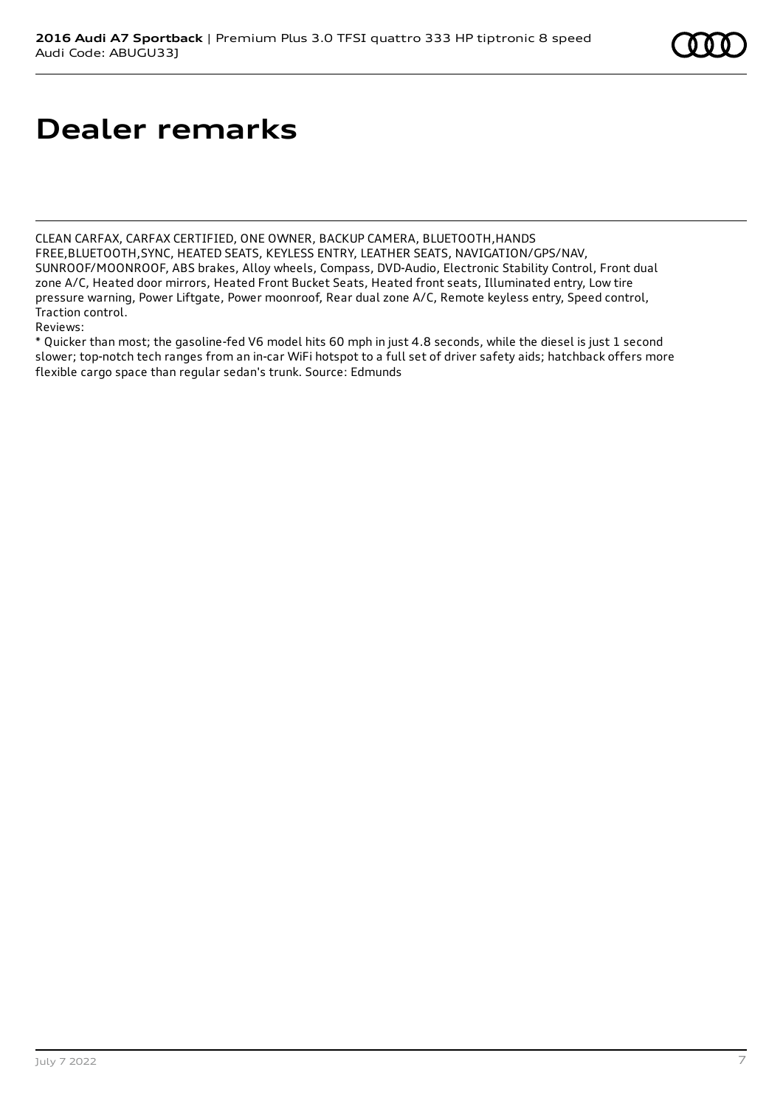# **Dealer remarks**

CLEAN CARFAX, CARFAX CERTIFIED, ONE OWNER, BACKUP CAMERA, BLUETOOTH,HANDS FREE,BLUETOOTH,SYNC, HEATED SEATS, KEYLESS ENTRY, LEATHER SEATS, NAVIGATION/GPS/NAV, SUNROOF/MOONROOF, ABS brakes, Alloy wheels, Compass, DVD-Audio, Electronic Stability Control, Front dual zone A/C, Heated door mirrors, Heated Front Bucket Seats, Heated front seats, Illuminated entry, Low tire pressure warning, Power Liftgate, Power moonroof, Rear dual zone A/C, Remote keyless entry, Speed control, Traction control.

Reviews:

\* Quicker than most; the gasoline-fed V6 model hits 60 mph in just 4.8 seconds, while the diesel is just 1 second slower; top-notch tech ranges from an in-car WiFi hotspot to a full set of driver safety aids; hatchback offers more flexible cargo space than regular sedan's trunk. Source: Edmunds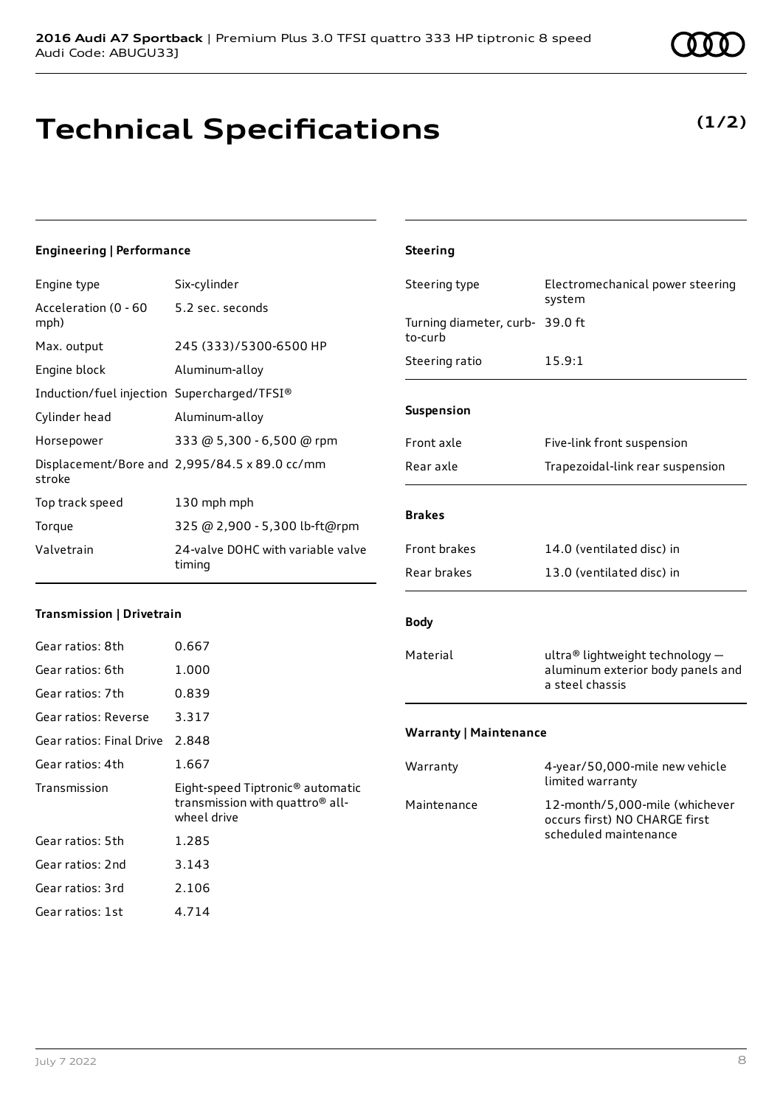# **Technical Specifications**

### Engine type Six-cylinder

**Engineering | Performance**

| 5.2 sec. seconds                              |
|-----------------------------------------------|
| 245 (333)/5300-6500 HP                        |
| Aluminum-alloy                                |
| Induction/fuel injection Supercharged/TFSI®   |
| Aluminum-alloy                                |
| 333 @ 5,300 - 6,500 @ rpm                     |
| Displacement/Bore and 2,995/84.5 x 89.0 cc/mm |
| 130 mph mph                                   |
| 325 @ 2,900 - 5,300 lb-ft@rpm                 |
| 24-valve DOHC with variable valve<br>timing   |
|                                               |

### **Transmission | Drivetrain**

| Gear ratios: 8th         | 0.667                                                                                                      |
|--------------------------|------------------------------------------------------------------------------------------------------------|
| Gear ratios: 6th         | 1.000                                                                                                      |
| Gear ratios: 7th         | 0.839                                                                                                      |
| Gear ratios: Reverse     | 3.317                                                                                                      |
| Gear ratios: Final Drive | 2.848                                                                                                      |
| Gear ratios: 4th         | 1.667                                                                                                      |
|                          |                                                                                                            |
| Transmission             | Eight-speed Tiptronic <sup>®</sup> automatic<br>transmission with quattro <sup>®</sup> all-<br>wheel drive |
| Gear ratios: 5th         | 1.285                                                                                                      |
| Gear ratios: 2nd         | 3.143                                                                                                      |
| Gear ratios: 3rd         | 2.106                                                                                                      |

## **Steering** Steering type Electromechanical power steering system Turning diameter, curb-39.0 ft to-curb Steering ratio 15.9:1 **Suspension** Front axle Five-link front suspension Rear axle Trapezoidal-link rear suspension **Brakes** Front brakes 14.0 (ventilated disc) in Rear brakes 13.0 (ventilated disc) in **Body** Material ultra® lightweight technology – aluminum exterior body panels and a steel chassis **Warranty | Maintenance** Warranty 4-year/50,000-mile new vehicle limited warranty Maintenance 12-month/5,000-mile (whichever occurs first) NO CHARGE first scheduled maintenance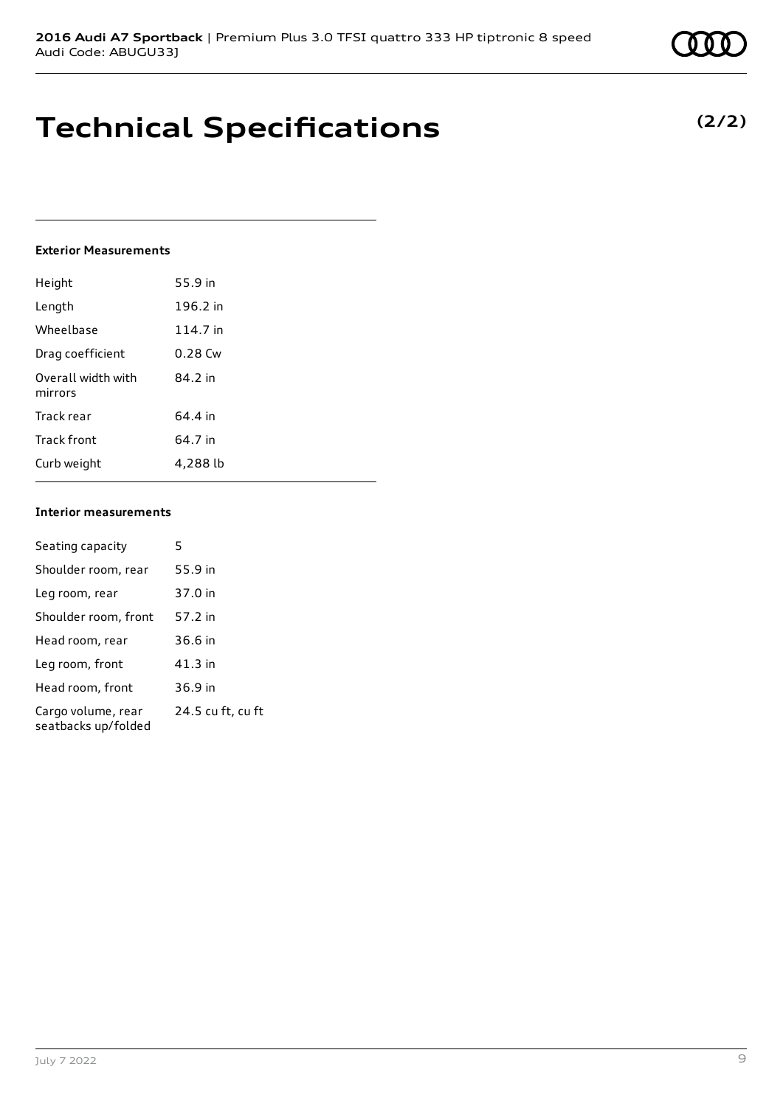# **Technical Specifications**

### **Exterior Measurements**

| Height                        | 55.9 in   |
|-------------------------------|-----------|
| Length                        | 196.2 in  |
| Wheelbase                     | 114.7 in  |
| Drag coefficient              | $0.28$ Cw |
| Overall width with<br>mirrors | 84.2 in   |
| Track rear                    | 64.4 in   |
| Track front                   | 64.7 in   |
| Curb weight                   | 4,288 lb  |

### **Interior measurements**

| Seating capacity                          | 5                 |
|-------------------------------------------|-------------------|
| Shoulder room, rear                       | 55.9 in           |
| Leg room, rear                            | 37.0 in           |
| Shoulder room, front                      | 57.2 in           |
| Head room, rear                           | 36.6 in           |
| Leg room, front                           | 41.3 in           |
| Head room, front                          | 36.9 in           |
| Cargo volume, rear<br>seatbacks up/folded | 24.5 cu ft, cu ft |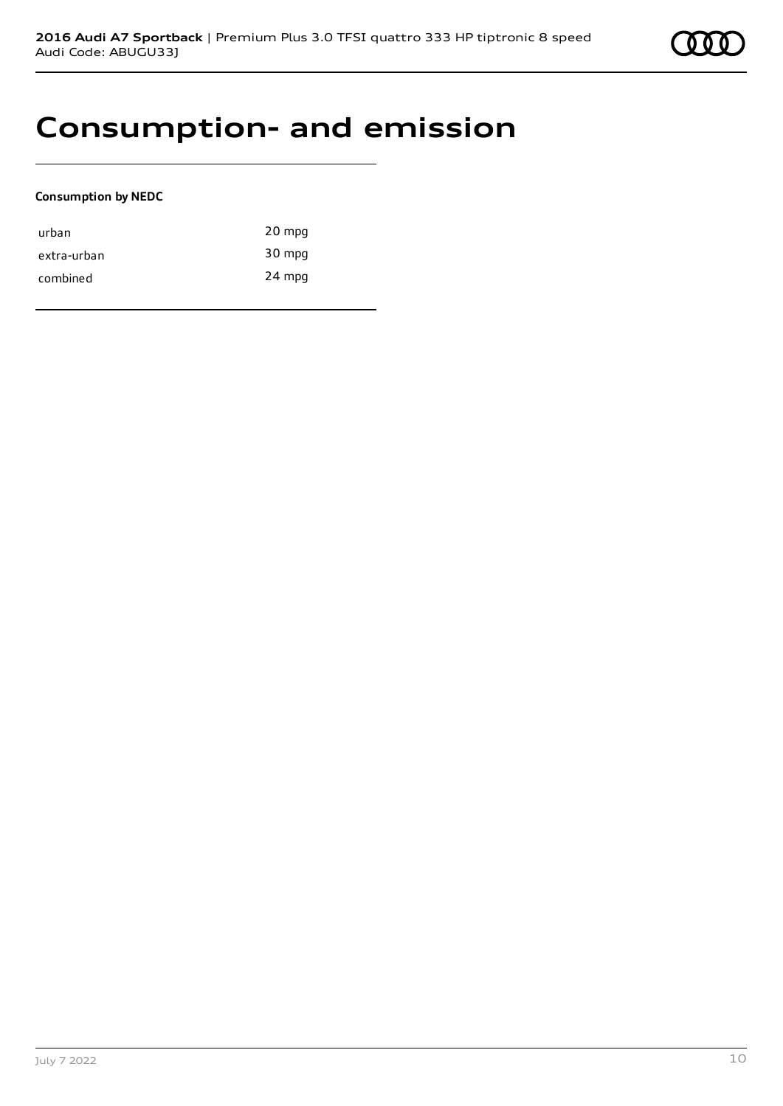

# **Consumption- and emission**

### **Consumption by NEDC**

| urban       | 20 mpg |
|-------------|--------|
| extra-urban | 30 mpg |
| combined    | 24 mpg |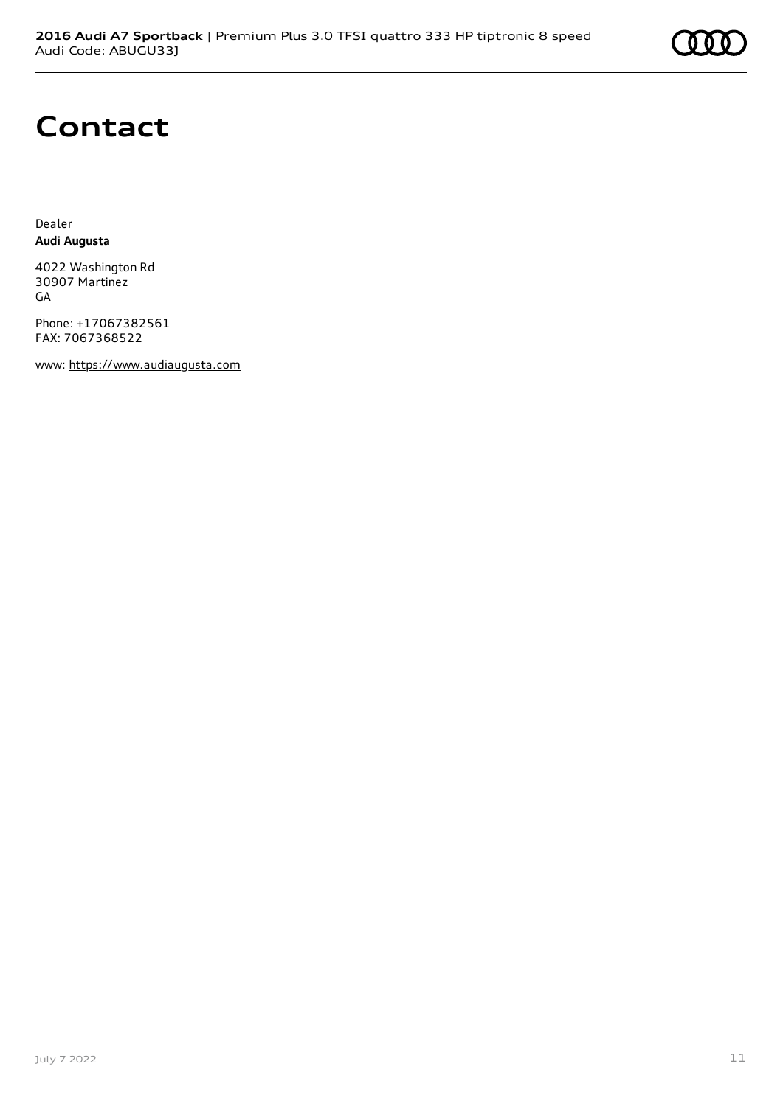

# **Contact**

Dealer **Audi Augusta**

4022 Washington Rd 30907 Martinez GA

Phone: +17067382561 FAX: 7067368522

www: [https://www.audiaugusta.com](https://www.audiaugusta.com/)